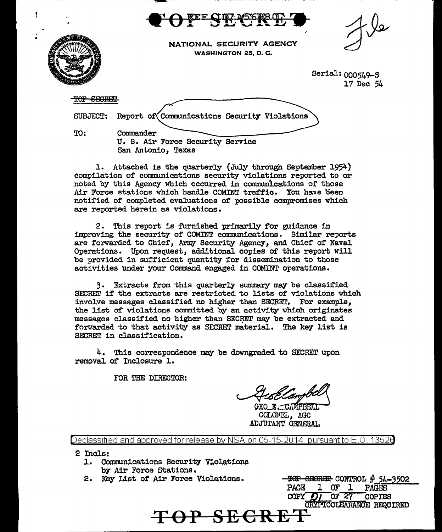

NATIONAL SECURITY AGENCY WASHINGTON 25, D.C.

> Serial: 000549-S 17 Dec 54

TOP SEGRET

SUBJECT: Report of Communications Security Violations

TO:

Commander U. S. Air Force Security Service San Antonio. Texas

1. Attached is the quarterly (July through September 1954) compilation of communications security violations reported to or noted by this Agency which occurred in communications of those Air Force stations which handle COMINT traffic. You have been notified of completed evaluations of possible compromises which are reported herein as violations.

2. This report is furnished primarily for guidance in improving the security of COMINT communications. Similar reports are forwarded to Chief, Army Security Agency, and Chief of Naval Operations. Upon request, additional copies of this report will be provided in sufficient quantity for dissemination to those activities under your Command engaged in COMINT operations.

3. Extracts from this quarterly summary may be classified SECRET if the extracts are restricted to lists of violations which involve messages classified no higher than SECRET. For example, the list of violations committed by an activity which originates messages classified no higher than SECRET may be extracted and forwarded to that activity as SECRET material. The key list is SECRET in classification.

4. This correspondence may be downgraded to SECRET upon removal of Inclosure 1.

FOR THE DIRECTOR:

GEO E CAMPBELL COLONEL, AGC ADJUTANT GENERAL.

Declassified and approved for release by NSA on 05-15-2014 pursuant to E.O. 1352 $\theta$ 

2 Incls:

- 1. Communications Security Violations by Air Force Stations.
- 2. Key List of Air Force Violations.

 $-$ <del>TOP SECRET</del> CONTROL  $#$  54-3502  $1$  OF  $1$ PACE PAGES  $COPY$  OF 27 COPIES CRYPTOCLEARANCE REQUIRED **TOP SECRE**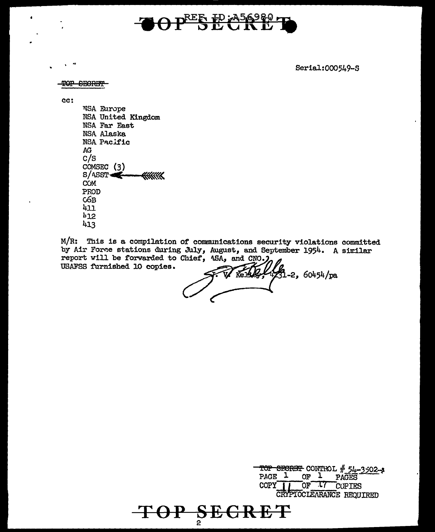# OPESE CRET

Serial:000549-S

TOP SECRET

cc:

**NSA Europe** NSA United Kingdom NSA Far East NSA Alaska NSA Pacific  $AG$  $c/s$ COMSEC  $(3)$  $S/$  ASST  $\leftarrow$ **KKKKKK COM** PROD  $G6B$ 411  $b12$ 413

 $M/R$ : This is a compilation of communications security violations committed by Air Force stations during July, August, and September 1954. A similar report will be forwarded to Chief, 4SA, and CNO. USAFSS furnished 10 copies.

 $\sqrt{31}$ -2, 60454/pa

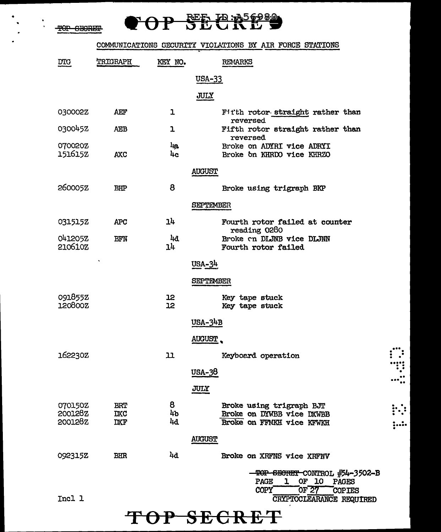•

 $\frac{1}{\sqrt{2}}$ 

## **OP SECRES**

### COMMUNICATIONS GECURITY VIOLATIONS BY AIR FORCE STATIONS

| $\underline{\mathtt{D}}\mathtt{T}\mathtt{G}$ | TRIGRAPH                               | KEY NO.         | <b>REMARKS</b>                                                                                                                                   |
|----------------------------------------------|----------------------------------------|-----------------|--------------------------------------------------------------------------------------------------------------------------------------------------|
|                                              |                                        |                 | USA-33                                                                                                                                           |
|                                              |                                        |                 | JULY                                                                                                                                             |
| 030002Z                                      | AEF                                    | ı               | Fitth rotor straight rather than                                                                                                                 |
| 030045Z                                      | <b>AEB</b>                             | ı               | reversed<br>Fifth rotor straight rather than<br><b>reversed</b>                                                                                  |
| 070020Z<br>1516152                           | <b>AXC</b>                             | 4a<br>4c        | Broke on ADYRI vice ADRYI<br>Broke on KHRDO vice KHRZO                                                                                           |
|                                              |                                        |                 | <b>AUGUST</b>                                                                                                                                    |
| 260005Z                                      | <b>BHP</b>                             | 8               | Broke using trigraph BKP                                                                                                                         |
|                                              |                                        |                 | <b>SEPTEMBER</b>                                                                                                                                 |
| 0315152                                      | <b>APC</b>                             | 14              | Fourth rotor failed at counter<br>reading 0280                                                                                                   |
| 041205Z<br>210610Z                           | BFN                                    | 4d<br>14        | Broke on DLJNB vice DLJNN<br>Fourth rotor failed                                                                                                 |
|                                              |                                        |                 | $USA-34$                                                                                                                                         |
|                                              |                                        |                 | SEPTEMBER                                                                                                                                        |
| 091855Z<br>120800Z                           |                                        | <b>12</b><br>12 | Key tape stuck<br>Key tape stuck                                                                                                                 |
|                                              |                                        |                 | $USA-34B$                                                                                                                                        |
|                                              |                                        |                 | AUGUST.                                                                                                                                          |
| 162230Z                                      |                                        | 11              | Keyboard operation                                                                                                                               |
|                                              |                                        |                 | USA-38                                                                                                                                           |
|                                              |                                        |                 | JULY                                                                                                                                             |
| 070150Z<br>200128Z<br>200128Z                | <b>BRT</b><br><b>DXC</b><br><b>DXF</b> | 8<br>4b<br>4d   | Broke using trigraph BJT<br>Broke on DYWBB vice DXWBB<br>Broke on FFMKH vice KFWKH                                                               |
|                                              |                                        |                 | <b>AUGUST</b>                                                                                                                                    |
| 0923152                                      | BHR                                    | 4d              | Broke on XRFNS vice XRFNV                                                                                                                        |
| Incl 1                                       |                                        |                 | TOP SECRET CONTROL #54-3502-B<br>OF 10<br>PAGE<br>ı<br><b>PAGES</b><br>OF $27$<br>COPY <sup>-</sup><br><b>COPIES</b><br>CRYPTOCLEARANCE REQUIRED |

. ... . . . . . ••••• . . .. .

 $\ddotsc$ 

 $\vdots$  :

. . ..... .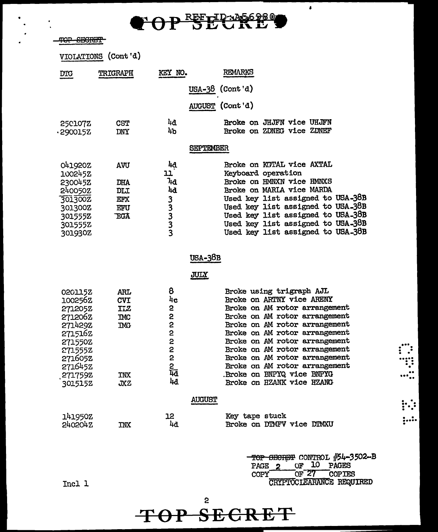

VIOIATIONS (Cont'd)

| <b>DTG</b>                                                                                                                       | <b>TRIGRAPH</b>                                                           | KEY NO.                                    | REMARKS                                                                                                                                                                                                                                                                                                                                                                                 |
|----------------------------------------------------------------------------------------------------------------------------------|---------------------------------------------------------------------------|--------------------------------------------|-----------------------------------------------------------------------------------------------------------------------------------------------------------------------------------------------------------------------------------------------------------------------------------------------------------------------------------------------------------------------------------------|
|                                                                                                                                  |                                                                           |                                            | <u>USA-38</u> (Cont'd)                                                                                                                                                                                                                                                                                                                                                                  |
|                                                                                                                                  |                                                                           |                                            | AUGUST (Cont'd)                                                                                                                                                                                                                                                                                                                                                                         |
| 250107Z<br>290015Z.                                                                                                              | <b>CST</b><br>DNY                                                         | 4đ.<br>4 <sub>b</sub>                      | Broke on JHJFN vice UHJFN<br>Broke on ZDNEG vice ZDNEF                                                                                                                                                                                                                                                                                                                                  |
|                                                                                                                                  |                                                                           |                                            | <b>SEPTEMBER</b>                                                                                                                                                                                                                                                                                                                                                                        |
| 041920Z<br>1002452<br>230045Z<br>240050Z<br>301300Z<br>301300Z<br>301555Z<br>301555Z<br>301930Z                                  | AVU<br>DHA<br>DLI<br>EFX<br>EFU<br><b>EGA</b>                             | 44<br>11<br>٦ıα<br>4d<br><b>SSSSS</b>      | Broke on KGTAL vice AXTAL<br>Keyboard operation<br>Broke on HMNXN vice HMNXS<br>Broke on MARIA vice MARDA<br>Used key list assigned to USA-38B<br>Used key list assigned to USA-38B<br>Used key list assigned to USA-38B<br>Used key list assigned to USA-38B<br>Used key list assigned to USA-38B                                                                                      |
|                                                                                                                                  |                                                                           |                                            | USA-38B                                                                                                                                                                                                                                                                                                                                                                                 |
|                                                                                                                                  |                                                                           |                                            | <b>JULY</b>                                                                                                                                                                                                                                                                                                                                                                             |
| 0201152<br>100256Z<br>271205Z<br>271206Z<br>271429Z<br>2715162<br>271550Z<br>271555Z<br>2716052<br>2716452<br>2717592<br>3015152 | <b>ARL</b><br><b>CVI</b><br>ILZ<br><b>IMC</b><br><b>TMG</b><br>IWX<br>JXZ | 8<br>4c<br>2<br>2<br>2<br>2<br>近らところ<br>4d | Broke using trigraph AJL<br>Broke on ARTNY vice ARENY<br>Broke on AM rotor arrangement<br>Broke on AM rotor arrangement<br>Broke on AM rotor arrangement<br>Broke on AM rotor arrangement<br>Broke on AM rotor arrangement<br>Broke on AM rotor arrangement<br>Broke on AM rotor arrangement<br>Broke on AM rotor arrangement<br>Broke on BNPYQ vice BNPYG<br>Broke on HZANK vice HZANG |
|                                                                                                                                  |                                                                           |                                            | <b>AUGUST</b>                                                                                                                                                                                                                                                                                                                                                                           |
| 141950Z<br>240204Z                                                                                                               | TNX                                                                       | 12<br>4đ                                   | Key tape stuck<br>Broke on DIMFV vice DIMXU                                                                                                                                                                                                                                                                                                                                             |

TOP SECRET CONTROL #54-3502-B PAGE 2 OF 10 PAGES COPY OF 27 COPIES Incl 1 CRYPTOCIEARANCE REQUIRED

 $\dddot{\mathbf{r}}$ ् ..  $\blacksquare$ 

 $\frac{1}{2}$ ...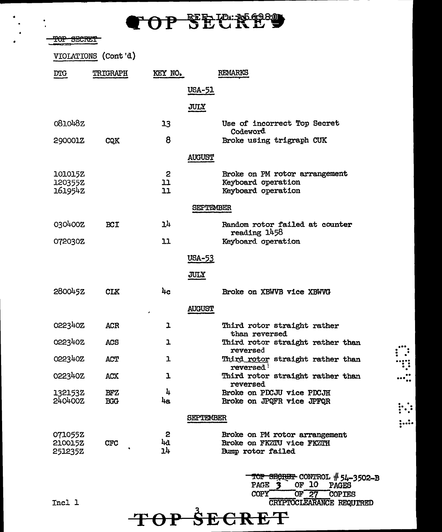### 0P SECR29

TOP SECRET

VIOLATIONS (Cont'd)

| <b>DTG</b>                    | TRIGRAPH                 | KEY NO.          | <b>REMARKS</b>                                                                  |  |
|-------------------------------|--------------------------|------------------|---------------------------------------------------------------------------------|--|
|                               |                          | USA-51           |                                                                                 |  |
|                               |                          | JULY             |                                                                                 |  |
| 081048Z                       |                          | 13               | Use of incorrect Top Secret<br>Codeword                                         |  |
| 290001Z                       | CQK                      | 8                | Broke using trigraph CUK                                                        |  |
|                               |                          | <b>AUGUST</b>    |                                                                                 |  |
| 101015Z<br>120355Z<br>161954Z |                          | 2<br>בב<br>11    | Broke on PM rotor arrangement<br>Keyboard operation<br>Keyboard operation       |  |
|                               |                          |                  | <b>SEPTEMBER</b>                                                                |  |
| 030400Z                       | <b>BCI</b>               | 14               | Random rotor failed at counter<br>reading 1458                                  |  |
| 072030Z                       |                          | 11               | Keyboard operation                                                              |  |
|                               |                          | <b>USA-53</b>    |                                                                                 |  |
|                               |                          | <b>JULY</b>      |                                                                                 |  |
| 280045Z                       | <b>CLK</b>               | 4c               | Broke on XBWVB vice XBWVG                                                       |  |
|                               |                          | <b>AUGUST</b>    |                                                                                 |  |
| 022340Z                       | <b>ACR</b>               | ı                | Third rotor straight rather<br>than reversed                                    |  |
| 022340Z                       | <b>ACS</b>               | ı                | Third rotor straight rather than<br>reversed                                    |  |
| 022340Z                       | ACT                      | ı                | Third rotor straight rather than<br>reversed <b>'</b>                           |  |
| 022340Z                       | ACX                      | ı                | Third rotor straight rather than<br>reversed                                    |  |
| 1321532<br>240400Z            | <b>BFZ</b><br><b>BGG</b> | հ<br>4a          | Broke on PDCJU vice PDCJH<br>Broke on JPQFR vice JPFQR                          |  |
|                               |                          | <b>SEPTEMBER</b> |                                                                                 |  |
| 071055Z<br>210015Z<br>251235Z | <b>CFC</b>               | 2<br>44<br>14    | Broke on PM rotor arrangement<br>Broke on FKZTU vice FKZTH<br>Bump rotor failed |  |

**TOP SECRET** 

TOP SECRET CONTROL #54-3502-B PAGE 3 OF 10 PAGES COPY OF 27 COPIES Incl 1 CRYPTOCLEARANCE REQUrRED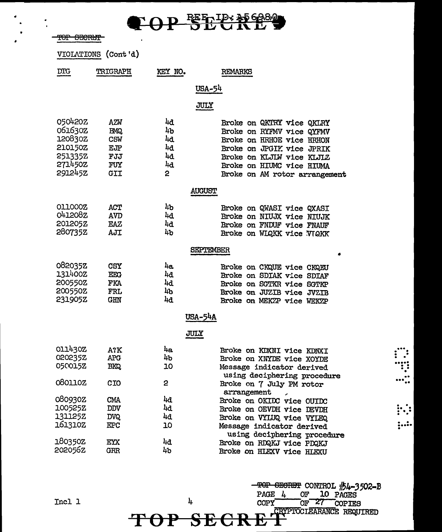

 $\bullet$ 

| VIOLATIONS         | (Cont d)                 |             |                                                         |
|--------------------|--------------------------|-------------|---------------------------------------------------------|
| <b>DIG</b>         | <b>TRIGRAPH</b>          | KEY NO.     | REMARKS                                                 |
|                    |                          |             | USA-54                                                  |
|                    |                          |             | JULY                                                    |
|                    |                          |             |                                                         |
| 050420Z<br>061630Z | AZW<br><b>BMQ</b>        | 44<br>4b    | Broke on QKTRY vice QKLRY<br>Broke on RYFMV vice QYFMV  |
| 120830Z            | CSW                      | 4d          | Broke on HRHOE vice HRHON                               |
| <b>210150Z</b>     | EJP                      | 4d          | Broke on JPGIK vice JPRIK                               |
| 251335Z            | FJJ                      | 4d          | Broke on KLJIM vice KLJIZ                               |
| 271450Z            | FUY                      | 4d          | Broke on HIUMC vice HIUMA                               |
| 291245Z            | GII                      | 2           | Broke on AM rotor arrangement                           |
|                    |                          |             | <b>AUGUST</b>                                           |
| <b>OLLOOOZ</b>     | ACT                      | 4b          |                                                         |
| 0412082            | <b>AVD</b>               | 4d          | Broke on QWASI vice QXASI<br>Broke on NIUJX vice NIUJK  |
| <b>201205Z</b>     | EAZ                      | 4d          | Broke on FNDUF vice FNAUF                               |
| 280735Z            | AJI                      | 4b          | Broke on WIQKK vice VIQKK                               |
|                    |                          |             |                                                         |
|                    |                          |             | SEPTEMBER                                               |
| 082035Z            | <b>CSY</b>               | 4a          | Broke on CKQUE vice CKQEU                               |
| 131400Z            | EEG                      | 4d          | Broke on SDIAK vice SDIAF                               |
| 200550Z            | FKA                      | 4d          | Broke on SGTKR vice SGTKP                               |
| 200550Z            | FRL                      | 4b          | Broke on JUZIB vice JVZIB                               |
| 231905Z            | <b>GHN</b>               | 4d          | Broke on MEKZP vice WEKZP                               |
|                    |                          |             | <b>USA-54A</b>                                          |
|                    |                          | <b>JULY</b> |                                                         |
| 011430Z            | A?K                      | 4a          | Broke on KDXNI vice KDNXI                               |
| 020235Z            | <b>APG</b>               | 4b          | Broke on XNYDE vice XOYDE                               |
| 050015Z            | <b>BKQ</b>               | 10          | Message indicator derived                               |
| 080110Z            | CIO                      | 2           | using deciphering procedure<br>Broke on 7 July PM rotor |
|                    |                          |             | arrangement                                             |
| 080930Z            | <b>CMA</b>               | 4d          | Broke on OKIDC vice OUIDC                               |
| 100525Z            | <b>DDV</b>               | 4d          | Broke on OEVDH vice DEVDH                               |
| 1311252            | <b>DVQ</b>               | 4d          | Broke on VYLUQ vice VYLEQ                               |
| 161310Z            | <b>EPC</b>               | 10          | Message indicator derived                               |
| 1803502            |                          |             | using deciphering procedure                             |
| 2020562            | <b>EYX</b><br><b>GRR</b> | 4d<br>4b    | Broke on RDQKJ vice PDQKJ                               |
|                    |                          |             | Broke on HLEXV vice HLEXU                               |

Incl 1

 $\mathbf{l}_\text{+}$ 

TOP

TOP SECRET CONTROL #54-3502-B<br>PAGE 4 OF 10 PAGES PAGE 4 OF 27 COPIES **SECRET** CRETTINGLE REQUIRED

∵: .....

 $\mathbb{N}$ 

 $|$  :  $\cdot$  :  $\cdot$   $|$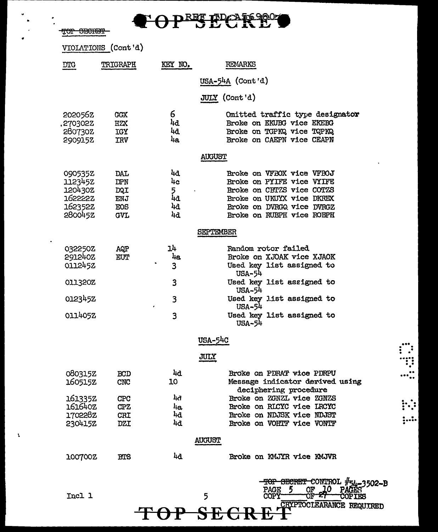¢ OPEE PPC KE

TOP SECRET

J.

|                                                                | VIOLATIONS (Cont'd)                           |                                 |                                                                                                                                                                            |
|----------------------------------------------------------------|-----------------------------------------------|---------------------------------|----------------------------------------------------------------------------------------------------------------------------------------------------------------------------|
| <b>DTG</b>                                                     | TRIGRAPH                                      | KEY NO.                         | REMARKS                                                                                                                                                                    |
|                                                                |                                               |                                 | USA-54A (Cont'd)                                                                                                                                                           |
|                                                                |                                               |                                 | JULY (Cont'd)                                                                                                                                                              |
| 2020562<br>.270302Z<br>2807302<br>2909152                      | <b>GGX</b><br>HZX<br>IGY<br><b>IRV</b>        | 6<br>4d<br>4d.<br>48.           | Omitted traffic type designator<br>Broke on EKUBG vice EKEBG<br>Broke on TGPKQ vice TQPKQ<br>Broke on CAEPN vice CEAPN                                                     |
|                                                                |                                               |                                 | <b>AUGUST</b>                                                                                                                                                              |
| 090535Z<br>112345Z<br>1204302<br>1622222<br>162352Z<br>280045Z | DAL<br>DPN<br>DQI<br>ENJ<br>EOS<br><b>GVL</b> | 4d<br>4c<br>5<br>4d<br>44<br>4d | Broke on VFBOX vice VFBOJ<br>Broke on PYIFE vice VYIFE<br>Broke on CBTZS vice COTZS<br>Broke on UKUYX vice DKREX<br>Broke on DVRGQ vice DVRGZ<br>Broke on RUBPH vice ROBPH |
|                                                                |                                               |                                 | SEPTEMBER                                                                                                                                                                  |
| 032250Z<br>2912402<br>0112452                                  | AQP<br>EUT                                    | 14<br>4a<br>3                   | Random rotor failed<br>Broke on XJOAK vice XJAOK<br>Used key list assigned to<br><b>USA-54</b>                                                                             |
| 011320Z                                                        |                                               | 3                               | Used key list assigned to<br>USA-54                                                                                                                                        |
| 012345Z                                                        |                                               | 3                               | Used key list assigned to<br>USA-54                                                                                                                                        |
| 0114052                                                        |                                               | 3                               | Used key list assigned to<br>USA-54                                                                                                                                        |
|                                                                |                                               |                                 | <b>USA-54C</b>                                                                                                                                                             |
|                                                                |                                               |                                 | JULY                                                                                                                                                                       |
| 080315Z<br>160515Z                                             | <b>BCD</b><br>CNC                             | 44<br>10                        | Broke on PDRAT vice PDRPU<br>Message indicator derived using<br>deciphering procedure                                                                                      |
| 1613352<br>161640Z                                             | <b>CPC</b><br><b>CPZ</b>                      | 4ð<br>4a                        | Broke on ZGNZL vice ZGNZS<br>Broke on RLCYC vice LRCYC                                                                                                                     |
| 170228Z<br><b>230415Z</b>                                      | CRI                                           | 4d<br>4d                        | Broke on NDJSK vice NDJST<br>Broke on VOHTF vice VONTF                                                                                                                     |
|                                                                | <b>DZI</b>                                    |                                 |                                                                                                                                                                            |
|                                                                |                                               |                                 | <b>AUGUST</b>                                                                                                                                                              |
| 100700Z                                                        | <b>BTS</b>                                    | 44                              | Broke on KMJYR vice KMJVR                                                                                                                                                  |
| Incl 1                                                         |                                               |                                 | SECRET CONTROL #54-3502-B<br><b>PAGE</b><br>ОF<br>5<br><b>COPY</b><br>О۳<br>CRYPTOCLEARANCE REQUIRED<br>OP SECRI                                                           |

W. .....

 $;...$ 

 $\Lambda$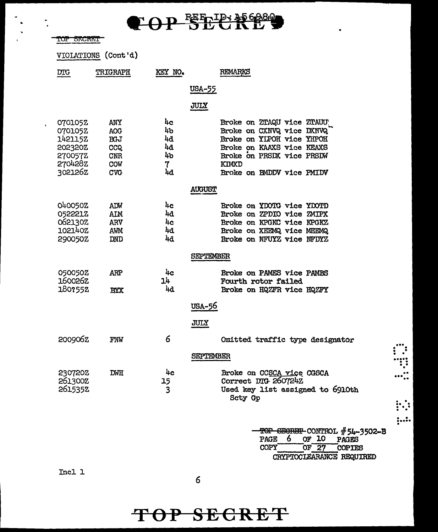

 $\mathbf{r}$ 

 $\hat{\mathbf{v}}$ 

|                                                                           | VIOLATIONS (Cont'd)                                                       |                                       |                                                                                                                                                                                            |
|---------------------------------------------------------------------------|---------------------------------------------------------------------------|---------------------------------------|--------------------------------------------------------------------------------------------------------------------------------------------------------------------------------------------|
| <b>DTG</b>                                                                | TRIGRAPH                                                                  | KEY NO.                               | REMARKS                                                                                                                                                                                    |
|                                                                           |                                                                           |                                       | USA-55                                                                                                                                                                                     |
|                                                                           |                                                                           |                                       | JULY                                                                                                                                                                                       |
| 0701052<br>070105Z<br>1421152<br>202320Z<br>270057Z<br>2704282<br>302126Z | ANY<br><b>AOG</b><br><b>BGJ</b><br>CCQ<br><b>CNR</b><br>COW<br><b>CVG</b> | 4c<br>4b<br>4d<br>44<br>4b<br>7<br>4d | Broke on ZTAQU vice ZTAUU<br>Broke on CXNVQ vice DXNVQ<br>Broke on YIPOH vice YHPOH<br>Broke on KAAXS vice KEAXS<br>Broke on PRSDX vice PRSDW<br><b>KIMXD</b><br>Broke on BMDDV vice PMIDV |
|                                                                           |                                                                           |                                       | <b>AUGUST</b>                                                                                                                                                                              |
| 0400502<br>052221Z<br>0621302<br>102140Z<br>290050Z                       | ADW<br><b>AIM</b><br><b>ARV</b><br>AWM<br>DND                             | 4c<br>4d<br>4c<br>4d<br>4d            | Broke on YDOTG vice YDOTD<br>Broke on ZPDIO vice ZMIPX<br>Broke on KPGKC vice KPGKZ<br>Broke on XEEMQ vice MEEMQ<br>Broke on NFUYZ vice NFDYZ                                              |
|                                                                           |                                                                           |                                       | <b>SEPTEMBER</b>                                                                                                                                                                           |
| 050050Z<br>160026Z<br>180?552                                             | ARP<br><b>BYX</b>                                                         | 4c<br>14<br>44                        | Broke on PAMES vice PAMBS<br>Fourth rotor failed<br>Broke on HQZFR vice HQZFY                                                                                                              |
|                                                                           |                                                                           |                                       | USA-56<br>JULY                                                                                                                                                                             |
| 2009062                                                                   | FNW                                                                       | 6                                     | Omitted traffic type designator                                                                                                                                                            |
| 2307202<br>261300Z<br>2615352                                             | DWH                                                                       | 4c<br>15<br>3                         | SEPTEMBER<br>Broke on CCSCA vice CGSCA<br>Correct DTG 260724Z<br>Used key list assigned to 6910th<br>Scty Gp                                                                               |
|                                                                           |                                                                           |                                       | TOP SECRET CONTROL #54-3502-B<br>6<br>OF 10<br>PAGE<br><b>PAGES</b><br>OF 27<br>COPY<br><b>COPIES</b>                                                                                      |

 $\vdots$ 

.....

 $\ddot{z}$ 

CRYPTOCLEARANCE REQUIRED

Incl 1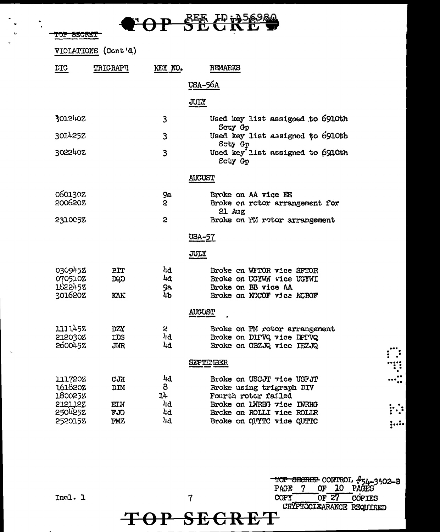|  |    | $\mathbf{F} \cap \mathbf{D}$ REE $F \mathbf{\psi}$ in $\mathbf{F} \mathbf{\psi}$ |  |
|--|----|----------------------------------------------------------------------------------|--|
|  | VI | <b>DLUNLV</b>                                                                    |  |

 $\frac{1}{2}$ 

TOP SECRET

 $\bullet$ 

|                                          | VIOLATIONS (Cont'd)             |                              |                                                                                                            |
|------------------------------------------|---------------------------------|------------------------------|------------------------------------------------------------------------------------------------------------|
| <b>DIG</b>                               | <b>TRIGRAPH</b>                 | KEY NO.                      | REMARKS                                                                                                    |
|                                          |                                 |                              | USA-56A                                                                                                    |
|                                          |                                 |                              | JULY                                                                                                       |
| 3012402                                  |                                 | 3                            | Used key list assigned to 6910th<br>Scty Gp                                                                |
| 301425Z                                  |                                 | $\overline{3}$               | Used key list assigned to 6910th<br>Sety Gp                                                                |
| 302240Z                                  |                                 | 3                            | Used key list assigned to 6910th<br>Ecty Gp                                                                |
|                                          |                                 |                              | <b>AUGUST</b>                                                                                              |
| <b>060130Z</b><br>200620Z                |                                 | 9a<br>$\mathbf{c}$           | Broke on AA vice EE<br>Broke on rotor arrangement for<br>$21$ $Au$ g                                       |
| 231005Z                                  |                                 | 2                            | Broke on PM rotor arrangement                                                                              |
|                                          |                                 |                              | <u>USA-57</u>                                                                                              |
|                                          |                                 |                              | JULY                                                                                                       |
| 030945Z<br>070510Z<br>1622452<br>301620Z | PIT<br>DQD<br><b>KAK</b>        | <b>hd</b><br>4ð<br>9а.<br>4b | Broke on WFTOR vice SFTOR<br>Broke on UGYWN vice UGYWI<br>Broke on BB vice AA<br>Broke on KCCOF vice KCBOF |
|                                          |                                 |                              | <b>AUGUST</b>                                                                                              |
| 1111452<br>212030Z<br>260045Z            | <b>DZY</b><br><b>TDS</b><br>JNR | 2<br>4d<br>4d                | Broke on PM rotor arrangement<br>Broke on DIPVQ vice DPPVQ<br>Broke on OBZJQ vice IEZJQ                    |
|                                          |                                 |                              | SEPTEMBER                                                                                                  |
| <b>111720Z</b><br>1618202<br>1800252     | cJH<br>DIM                      | 4d<br>8<br>14                | Broke on USCJT vice USFJT<br>Broke using trigraph DIV<br>Fourth rotor failed                               |
| 212112Z<br>250425Z<br>2520152            | EIN<br>FJO<br>FMZ               | 4d<br>Ŀd<br>4d               | Broke on LWRHG vice IWRHG<br>Brcke on ROLLI vice ROLLR<br>Broke on QUYTC vice QUTTC                        |

Incl. 1

 $\overline{7}$ 

TOP SECRET CONTROL #54-3502-B<br>PAGE 7 OF 10 PAGES **COPY**  $or 27$ COPIES CRYPTOCIEARANCE REQUIRED

 $\vdots$  :

 $; ...$ 

#### TOP SECRE  $\mathbf T$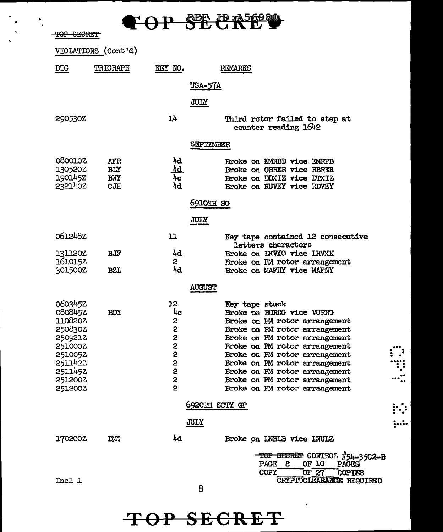**FOP SECRET** 

TOP SECRET

|                                                                                                                       | VIOLATIONS (Cont'd)                    |                                                                    |                                                                                                                                                                                                                                                                                                                                                                    |
|-----------------------------------------------------------------------------------------------------------------------|----------------------------------------|--------------------------------------------------------------------|--------------------------------------------------------------------------------------------------------------------------------------------------------------------------------------------------------------------------------------------------------------------------------------------------------------------------------------------------------------------|
| <b>DTG</b>                                                                                                            | TRIGRAPH                               | KEY NO.                                                            | REMARKS                                                                                                                                                                                                                                                                                                                                                            |
|                                                                                                                       |                                        | <b>USA-57A</b>                                                     |                                                                                                                                                                                                                                                                                                                                                                    |
|                                                                                                                       |                                        | JULY                                                               |                                                                                                                                                                                                                                                                                                                                                                    |
| 290530Z                                                                                                               |                                        | 14                                                                 | Third rotor failed to step at<br>counter reading 1642                                                                                                                                                                                                                                                                                                              |
|                                                                                                                       |                                        |                                                                    | SEPTEMBER                                                                                                                                                                                                                                                                                                                                                          |
| <b>Q60010Z</b><br>130520Z<br>1901452<br>2321402                                                                       | AFR<br><b>BLY</b><br><b>BWY</b><br>CJH | 44<br><u>4a</u><br>4c<br>4d                                        | Broke on EMRBD vice EMRPB<br>Broke on OBRER vice RBRER<br>Broke on DDXIZ vice DTXIZ<br>Broke on RUVEY vice RDVEY                                                                                                                                                                                                                                                   |
|                                                                                                                       |                                        |                                                                    | 6910TH SG                                                                                                                                                                                                                                                                                                                                                          |
|                                                                                                                       |                                        | JULY                                                               |                                                                                                                                                                                                                                                                                                                                                                    |
| 0612482                                                                                                               |                                        | 11                                                                 | Key tape contained 12 consecutive<br>letters characters                                                                                                                                                                                                                                                                                                            |
| <b>131120Z</b><br>161015Z                                                                                             | BJF                                    | 4d<br>$\mathbf{2}$                                                 | Broke on IHVXO vice LHVXK<br>Broke on PM rotor arrangement                                                                                                                                                                                                                                                                                                         |
| 301500Z                                                                                                               | <b>BZL</b>                             | 4d                                                                 | Broke on MAFHY vice MAFNY                                                                                                                                                                                                                                                                                                                                          |
|                                                                                                                       |                                        | AUGUST                                                             |                                                                                                                                                                                                                                                                                                                                                                    |
| 0603452<br>0808452<br>110820Z<br>250830Z<br>2509212<br>251000Z<br>2510052<br>2511422<br>2511452<br>251200Z<br>251200Z | <b>BOX</b>                             | 12<br>4c<br>2<br>2<br>2<br>2<br>2<br>2<br>2<br>2<br>$\overline{2}$ | Key tape stuck<br>Broke on BURRG vice VURRG<br>Broke on PM rotor arrangement<br>Broke on PN rotor arrangement<br>Broke on PM rotor arrangement<br><b>Rroke on PM rotor arrangement</b><br>Broke on PM rotor arrangement<br>Broke on PM rotor arrangement<br><b>Eroke on PM rotor arrangement</b><br>Broke on PM rotor arrangement<br>Broke on PM rotor arrangement |
|                                                                                                                       |                                        |                                                                    | 6920TH SCTY GP                                                                                                                                                                                                                                                                                                                                                     |
|                                                                                                                       |                                        | JULY                                                               |                                                                                                                                                                                                                                                                                                                                                                    |
| 170200Z                                                                                                               | DM?                                    | 4a                                                                 | Broke on INHIB vice INUIZ                                                                                                                                                                                                                                                                                                                                          |
| Incl 1                                                                                                                |                                        |                                                                    | TOP SECRET CONTROL #54-3502-B<br>PAGE &<br>OF 10<br>PAGES<br>OF $27$<br>COPY<br><b>COPIES</b><br>CRYPTOCLEARANCE REQUIRED                                                                                                                                                                                                                                          |
|                                                                                                                       |                                        |                                                                    |                                                                                                                                                                                                                                                                                                                                                                    |

 $\ddot{ }$ 

 $\boldsymbol{8}$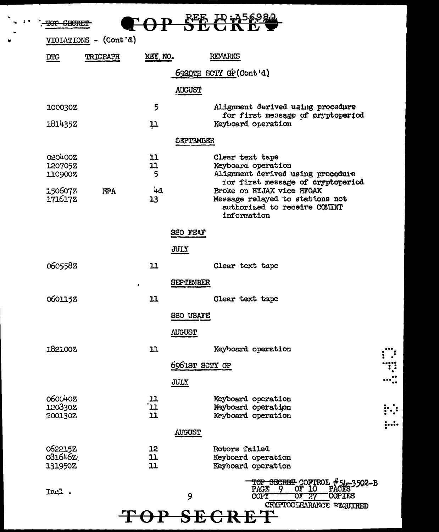| <del>-CECRE</del>         |                       |                    |                  |                                                                                          |  |
|---------------------------|-----------------------|--------------------|------------------|------------------------------------------------------------------------------------------|--|
|                           | VIOIATIONS - (Cont'd) |                    |                  |                                                                                          |  |
| $\overline{\text{DTC}}$   | TRIGRAPH              | KEY NO.            |                  | <b>REMARKS</b>                                                                           |  |
|                           |                       |                    |                  | 6920TH SCTY GP(Cont'd)                                                                   |  |
|                           |                       |                    | <b>AUGUST</b>    |                                                                                          |  |
| 100030Z                   |                       | 5                  |                  | Alignment derived uaing procedure<br>for first message of eryptoperiod                   |  |
| 181435Z                   |                       | 11                 |                  | Keyboard operation                                                                       |  |
|                           |                       |                    | <b>SEPTEMBER</b> |                                                                                          |  |
| 020400Z<br>1207052        |                       | 11<br>11           |                  | Clear text tape<br>Keyboard operation                                                    |  |
| 1109007                   |                       | 5                  |                  | Alignment derived using proceduie<br>for first message of cryptoperiod                   |  |
| 1506077<br>1716172        | <b>FPA</b>            | 4d<br>13           |                  | Broke on HYJAX vice HFGAK<br>Message relayed to stations not                             |  |
|                           |                       |                    |                  | authorized to receive COMINT<br>information                                              |  |
|                           |                       |                    | SSO FEAF         |                                                                                          |  |
|                           |                       |                    | JULY             |                                                                                          |  |
| 0605582                   |                       | 11                 |                  | Clear text tape                                                                          |  |
|                           | $\bullet$             |                    | <b>SEPTEMBER</b> |                                                                                          |  |
| 0601152                   |                       | 11                 |                  | Clear text tape                                                                          |  |
|                           |                       |                    | <b>SSO USAFE</b> |                                                                                          |  |
|                           |                       |                    | <b>AUGUST</b>    |                                                                                          |  |
| 182100Z                   |                       | $11$               |                  | Keyboard operation                                                                       |  |
|                           |                       |                    | 6961ST SCTY GP   |                                                                                          |  |
|                           |                       |                    | JULY             |                                                                                          |  |
| <b>060040Z</b><br>120330Z |                       | בב.<br>בב          |                  | Keyboard operation<br>Maybourd operation                                                 |  |
| 200130Z                   |                       | 11                 |                  | Keyboard operation                                                                       |  |
|                           |                       |                    | <b>AUGUST</b>    |                                                                                          |  |
| 062215Z<br>081646Z        |                       | 12<br>$\mathbf{u}$ |                  | Rotors failed<br>Keyboard operation                                                      |  |
| 131950Z                   |                       | 11                 |                  | Keyhoard operation                                                                       |  |
| Incl.                     |                       |                    |                  | <del>TOP SECRET </del> CONTROL #51-3502-B<br>PAGE 9 OF 10 PACES<br>PAGE<br><b>COPIES</b> |  |
|                           |                       |                    | 9                | COPY<br><u> ೧೯೯೯</u> 77<br>CRYPTOCLEARANCE REQUIRED                                      |  |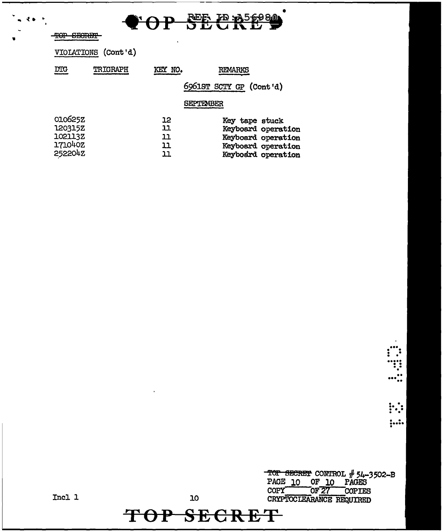|      |  | $\triangle$ on $\triangle$ F ID $356980$ |
|------|--|------------------------------------------|
| VUT. |  | <b>DEURE F</b>                           |

使备 开

VIOLATIONS (Cont'd)

| <b>DTG</b>         | TRIGRAPH | KEY NO.  | <b>REMARKS</b>                       |
|--------------------|----------|----------|--------------------------------------|
|                    |          |          | 6961ST SCTY GP (Cont'd)              |
|                    |          |          | SEPTEMBER                            |
| 010625Z<br>120315Z |          | 12<br>11 | Key tape stuck<br>Keyboard operation |
| 102113Z            |          | 11       | Keyboard operation                   |
| 171040Z            |          | 11       | Keyboard operation                   |
| 252204Z            |          | 11       | Keyboard operation                   |

 $\vdots$  $;...$ 

ः  $\cdots$  :

TOP SECRET CONTROL # 54-3502-B<br>PAGE 10 OF 10 PAGES<br>COPY OF 27 COPIES<br>CRYPTOCLEARANCE REQUIRED

 $Incl 1$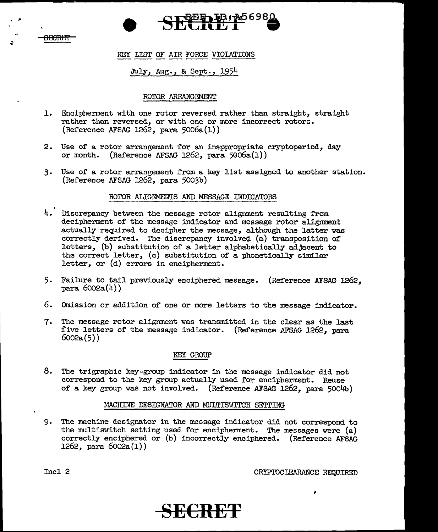

. ,.

#### KEY LIST OF AIR FORCE VIOLATIONS

#### July, Aug., & Sept., 1954

#### ROTOR ARRANGEMENT

- 1. Encipherment with one rotor reversed rather than straight, straight rather than reversed, or with one or more incorrect rotors. (Reference AFSAG 1262, para 5006a(l))
- 2. Use of a rotor arrangement for an inappropriate cryptoperiod, day or month. (Reference AFSAG 1262, para 5006a(l))
- 3. Use of a rotor arrangement from a key list assigned to another station. (Reference AFSAG 1262, para 5003b)

#### ROTOR ALIGNMENTS AND MESSAGE INDICATORS

- 4. Discrepancy between the message rotor alignment resulting from decipherment of the message indicator and message rotor alignment actually required to decipher the message, although the latter was correctly derived. The discrepancy involved (a) transposition of letters, (b) substitution of a letter alphabetically adjacent to the correct letter, (c) substitution of a phonetically similar letter, or (d) errors in encipherment.
- 5. Failure to tail previously enciphered message. (Reference AFSAG 1262. para 6002a(4))
- 6. Omission or addition of one or more letters to the message indicator.
- 7. The message rotor alignment was transmitted in the clear as the last five letters of the message indicator. (Reference AFSAG 1262, para 6002a(5))

#### KEY GROUP

8. The trigraphic key-group indicator in the message indicator did not correspond to the key group actually used for encipherment. Reuse of a key group was not involved. (Reference AFSAG 1262, para 5004b)

#### MACHINE DESIGNATOR AND MULTISWITCH SETTING

9. The machine designator in the message indicator did not correspond to the multiswitch setting used for encipherment. The messages were  $(a)$ correctly enciphered or (b) incorrectly enciphered. (Reference AFSAG 1262, para 6002a(l))

Incl 2 CRYPTOCIEARANCE REQUIRED